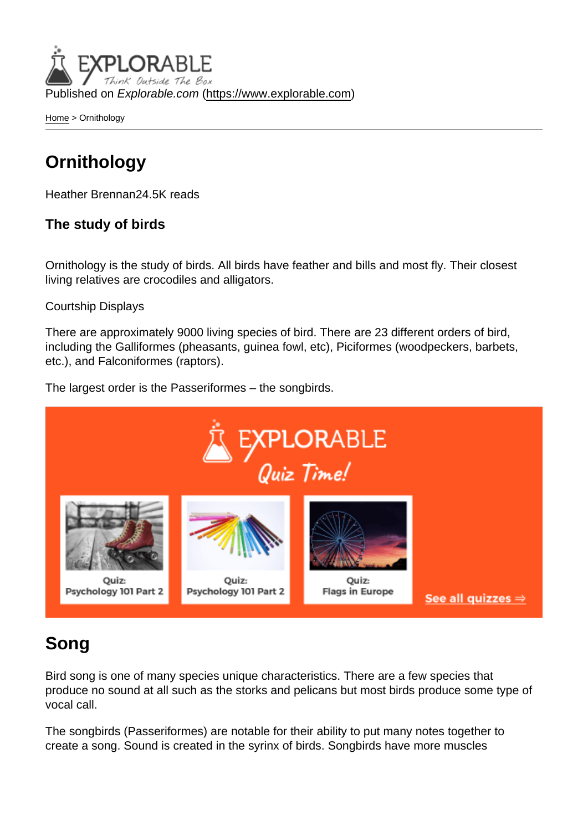Published on Explorable.com (<https://www.explorable.com>)

[Home](https://www.explorable.com/) > Ornithology

## **Ornithology**

Heather Brennan24.5K reads

The study of birds

Ornithology is the study of birds. All birds have feather and bills and most fly. Their closest living relatives are crocodiles and alligators.

#### Courtship Displays

There are approximately 9000 living species of bird. There are 23 different orders of bird, including the Galliformes (pheasants, guinea fowl, etc), Piciformes (woodpeckers, barbets, etc.), and Falconiformes (raptors).

The largest order is the Passeriformes – the songbirds.

### Song

Bird song is one of many species unique characteristics. There are a few species that produce no sound at all such as the storks and pelicans but most birds produce some type of vocal call.

The songbirds (Passeriformes) are notable for their ability to put many notes together to create a song. Sound is created in the syrinx of birds. Songbirds have more muscles